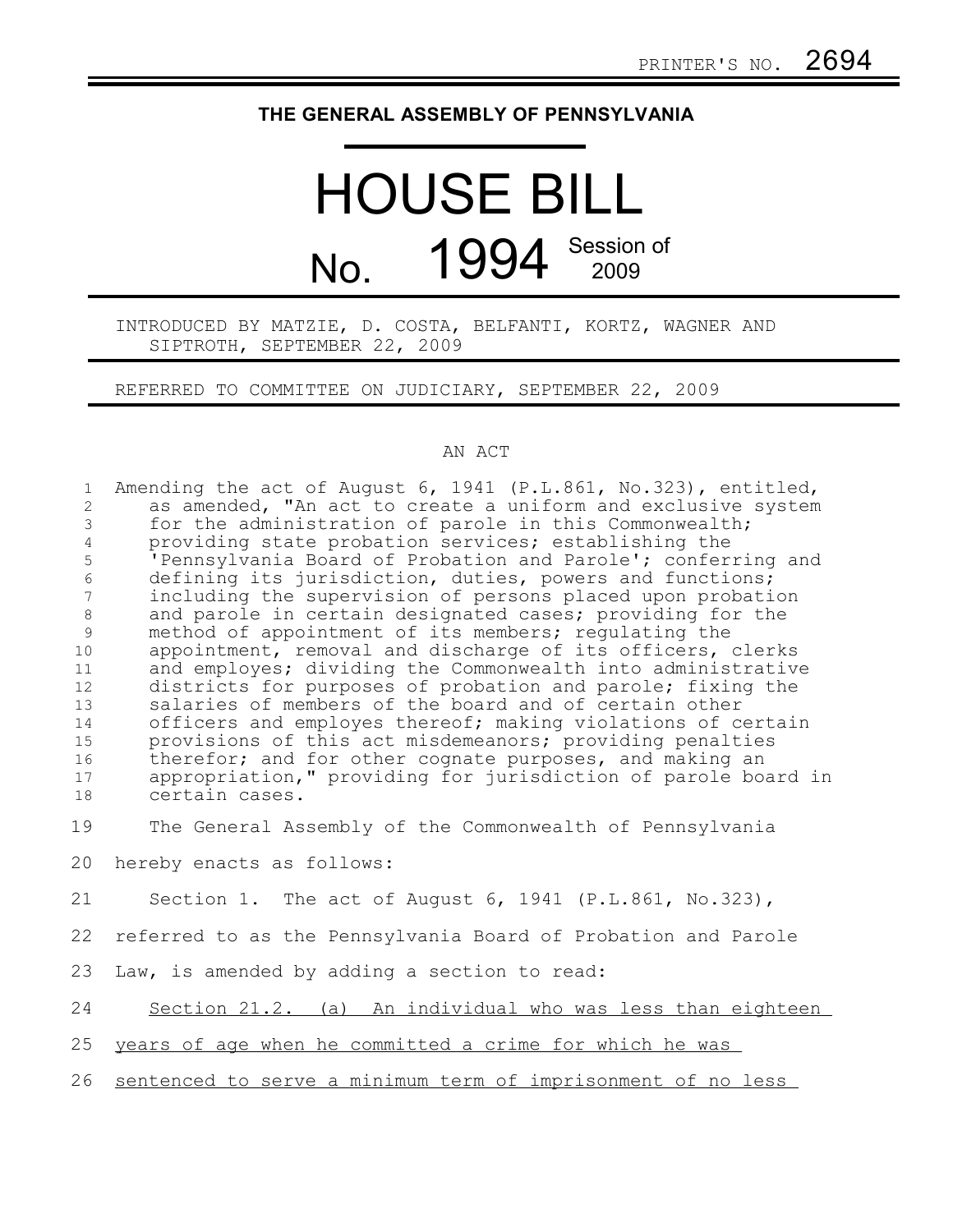## **THE GENERAL ASSEMBLY OF PENNSYLVANIA**

# HOUSE BILL No. 1994 Session of

### INTRODUCED BY MATZIE, D. COSTA, BELFANTI, KORTZ, WAGNER AND SIPTROTH, SEPTEMBER 22, 2009

#### REFERRED TO COMMITTEE ON JUDICIARY, SEPTEMBER 22, 2009

#### AN ACT

| Amending the act of August 6, 1941 (P.L.861, No.323), entitled, |
|-----------------------------------------------------------------|
| as amended, "An act to create a uniform and exclusive system    |
| for the administration of parole in this Commonwealth;          |
| providing state probation services; establishing the            |
| 'Pennsylvania Board of Probation and Parole'; conferring and    |
| defining its jurisdiction, duties, powers and functions;        |
| including the supervision of persons placed upon probation      |
| and parole in certain designated cases; providing for the       |
| method of appointment of its members; requlating the            |
| appointment, removal and discharge of its officers, clerks      |
| and employes; dividing the Commonwealth into administrative     |
| districts for purposes of probation and parole; fixing the      |
| salaries of members of the board and of certain other           |
| officers and employes thereof; making violations of certain     |
| provisions of this act misdemeanors; providing penalties        |
| therefor; and for other cognate purposes, and making an         |
| appropriation," providing for jurisdiction of parole board in   |
| certain cases.                                                  |
| The General Assembly of the Commonwealth of Pennsylvania        |
| hereby enacts as follows:                                       |
| Section 1. The act of August 6, 1941 (P.L.861, No.323),         |
| referred to as the Pennsylvania Board of Probation and Parole   |
| Law, is amended by adding a section to read:                    |
| Section 21.2. (a) An individual who was less than eighteen      |
| years of age when he committed a crime for which he was         |
| sentenced to serve a minimum term of imprisonment of no less    |
|                                                                 |